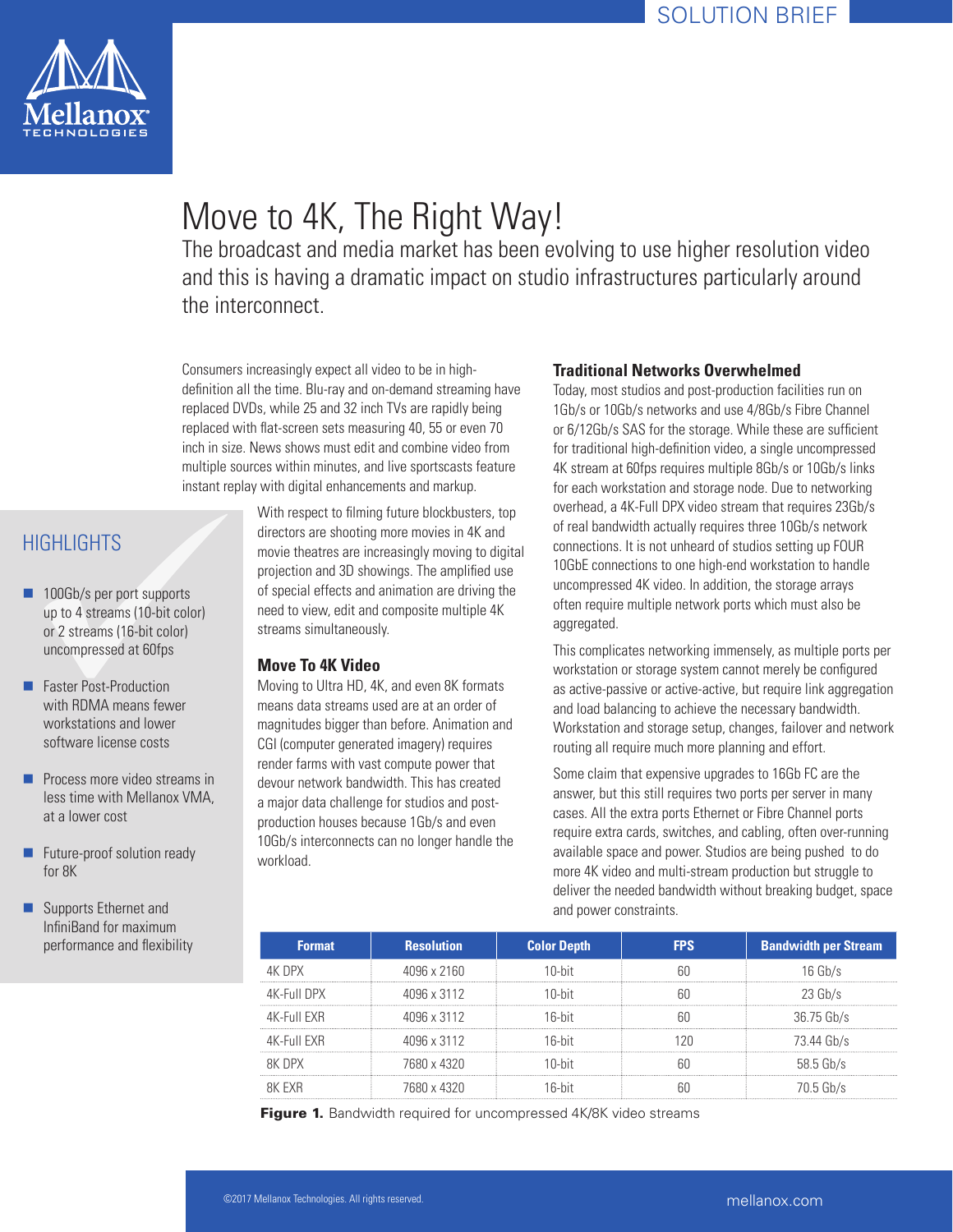

# Move to 4K, The Right Way!

The broadcast and media market has been evolving to use higher resolution video and this is having a dramatic impact on studio infrastructures particularly around the interconnect.

Consumers increasingly expect all video to be in highdefinition all the time. Blu-ray and on-demand streaming have replaced DVDs, while 25 and 32 inch TVs are rapidly being replaced with flat-screen sets measuring 40, 55 or even 70 inch in size. News shows must edit and combine video from multiple sources within minutes, and live sportscasts feature instant replay with digital enhancements and markup.

# **HIGHLIGHTS**

- 100Gb/s per port supports up to 4 streams (10-bit color) or 2 streams (16-bit color) uncompressed at 60fps
- **Faster Post-Production** with RDMA means fewer workstations and lower software license costs
- $\blacksquare$  Process more video streams in less time with Mellanox VMA, at a lower cost
- **Future-proof solution ready** for 8K
- Supports Ethernet and InfiniBand for maximum performance and flexibility

With respect to filming future blockbusters, top directors are shooting more movies in 4K and movie theatres are increasingly moving to digital projection and 3D showings. The amplified use of special effects and animation are driving the need to view, edit and composite multiple 4K streams simultaneously.

## **Move To 4K Video**

Moving to Ultra HD, 4K, and even 8K formats means data streams used are at an order of magnitudes bigger than before. Animation and CGI (computer generated imagery) requires render farms with vast compute power that devour network bandwidth. This has created a major data challenge for studios and postproduction houses because 1Gb/s and even 10Gb/s interconnects can no longer handle the workload.

### **Traditional Networks Overwhelmed**

Today, most studios and post-production facilities run on 1Gb/s or 10Gb/s networks and use 4/8Gb/s Fibre Channel or 6/12Gb/s SAS for the storage. While these are sufficient for traditional high-definition video, a single uncompressed 4K stream at 60fps requires multiple 8Gb/s or 10Gb/s links for each workstation and storage node. Due to networking overhead, a 4K-Full DPX video stream that requires 23Gb/s of real bandwidth actually requires three 10Gb/s network connections. It is not unheard of studios setting up FOUR 10GbE connections to one high-end workstation to handle uncompressed 4K video. In addition, the storage arrays often require multiple network ports which must also be aggregated.

This complicates networking immensely, as multiple ports per workstation or storage system cannot merely be configured as active-passive or active-active, but require link aggregation and load balancing to achieve the necessary bandwidth. Workstation and storage setup, changes, failover and network routing all require much more planning and effort.

Some claim that expensive upgrades to 16Gb FC are the answer, but this still requires two ports per server in many cases. All the extra ports Ethernet or Fibre Channel ports require extra cards, switches, and cabling, often over-running available space and power. Studios are being pushed to do more 4K video and multi-stream production but struggle to deliver the needed bandwidth without breaking budget, space and power constraints.

| <b>Format</b> | <b>Resolution</b> | <b>Color Depth</b> | FPS | <b>Bandwidth per Stream</b> |
|---------------|-------------------|--------------------|-----|-----------------------------|
| AK DPX        | 4096 x 2160       | 10-hit             |     | $h$ $\frac{1}{h}$           |
| 4K-Full DPX   | 4096 x 3112       | 10-hit             |     | 23 Gh/s                     |
| 4K-Full FXR   | 4096 x 3112       | 16-hit             |     | 36.75 Gb/s                  |
| 4K-Full FXR   | 4096 x 3112       | 16-hit             |     | 73.44 Gb/s                  |
| <b>RK DPX</b> | 7680 x 4320       | 10-hit             |     | $58.5$ Gb/s                 |
| RK EXR        | 7680 x 4320       | 16-hit             |     | 70.5 Gb/s                   |

Figure 1. Bandwidth required for uncompressed 4K/8K video streams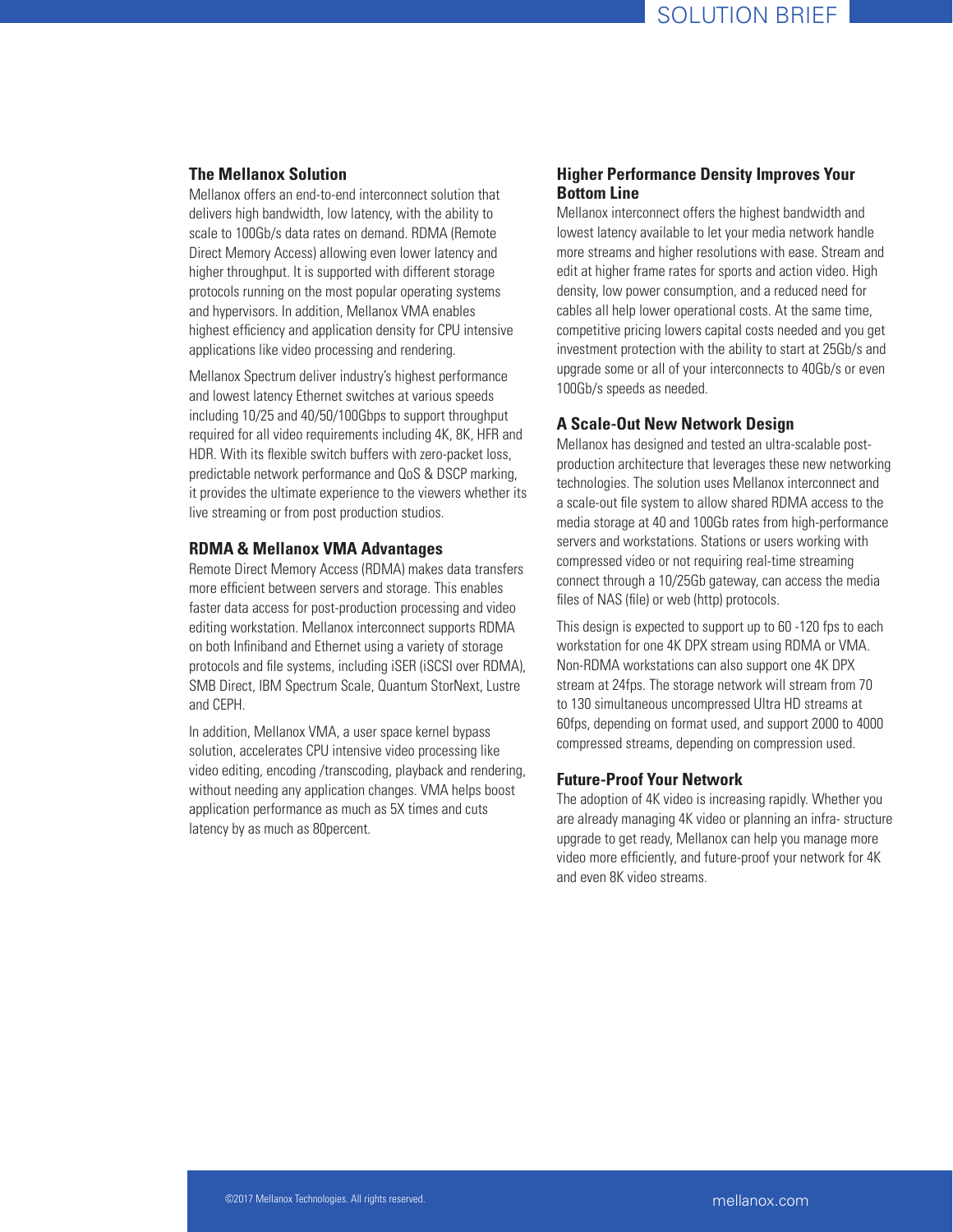#### **The Mellanox Solution**

Mellanox offers an end-to-end interconnect solution that delivers high bandwidth, low latency, with the ability to scale to 100Gb/s data rates on demand. RDMA (Remote Direct Memory Access) allowing even lower latency and higher throughput. It is supported with different storage protocols running on the most popular operating systems and hypervisors. In addition, Mellanox VMA enables highest efficiency and application density for CPU intensive applications like video processing and rendering.

Mellanox Spectrum deliver industry's highest performance and lowest latency Ethernet switches at various speeds including 10/25 and 40/50/100Gbps to support throughput required for all video requirements including 4K, 8K, HFR and HDR. With its flexible switch buffers with zero-packet loss, predictable network performance and QoS & DSCP marking, it provides the ultimate experience to the viewers whether its live streaming or from post production studios.

#### **RDMA & Mellanox VMA Advantages**

Remote Direct Memory Access (RDMA) makes data transfers more efficient between servers and storage. This enables faster data access for post-production processing and video editing workstation. Mellanox interconnect supports RDMA on both Infiniband and Ethernet using a variety of storage protocols and file systems, including iSER (iSCSI over RDMA), SMB Direct, IBM Spectrum Scale, Quantum StorNext, Lustre and CEPH.

In addition, Mellanox VMA, a user space kernel bypass solution, accelerates CPU intensive video processing like video editing, encoding /transcoding, playback and rendering, without needing any application changes. VMA helps boost application performance as much as 5X times and cuts latency by as much as 80percent.

#### **Higher Performance Density Improves Your Bottom Line**

Mellanox interconnect offers the highest bandwidth and lowest latency available to let your media network handle more streams and higher resolutions with ease. Stream and edit at higher frame rates for sports and action video. High density, low power consumption, and a reduced need for cables all help lower operational costs. At the same time, competitive pricing lowers capital costs needed and you get investment protection with the ability to start at 25Gb/s and upgrade some or all of your interconnects to 40Gb/s or even 100Gb/s speeds as needed.

#### **A Scale-Out New Network Design**

Mellanox has designed and tested an ultra-scalable postproduction architecture that leverages these new networking technologies. The solution uses Mellanox interconnect and a scale-out file system to allow shared RDMA access to the media storage at 40 and 100Gb rates from high-performance servers and workstations. Stations or users working with compressed video or not requiring real-time streaming connect through a 10/25Gb gateway, can access the media files of NAS (file) or web (http) protocols.

This design is expected to support up to 60 -120 fps to each workstation for one 4K DPX stream using RDMA or VMA. Non-RDMA workstations can also support one 4K DPX stream at 24fps. The storage network will stream from 70 to 130 simultaneous uncompressed Ultra HD streams at 60fps, depending on format used, and support 2000 to 4000 compressed streams, depending on compression used.

#### **Future-Proof Your Network**

The adoption of 4K video is increasing rapidly. Whether you are already managing 4K video or planning an infra- structure upgrade to get ready, Mellanox can help you manage more video more efficiently, and future-proof your network for 4K and even 8K video streams.